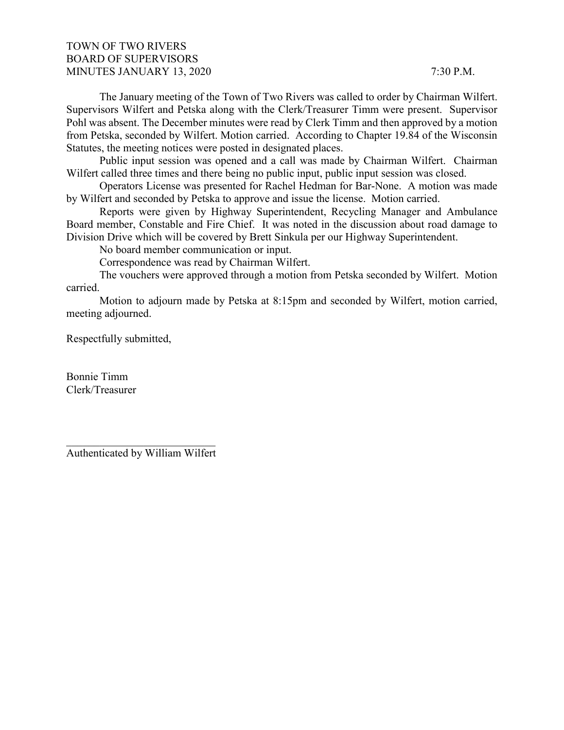# TOWN OF TWO RIVERS BOARD OF SUPERVISORS MINUTES JANUARY 13, 2020 7:30 P.M.

The January meeting of the Town of Two Rivers was called to order by Chairman Wilfert. Supervisors Wilfert and Petska along with the Clerk/Treasurer Timm were present. Supervisor Pohl was absent. The December minutes were read by Clerk Timm and then approved by a motion from Petska, seconded by Wilfert. Motion carried. According to Chapter 19.84 of the Wisconsin Statutes, the meeting notices were posted in designated places.

Public input session was opened and a call was made by Chairman Wilfert. Chairman Wilfert called three times and there being no public input, public input session was closed.

Operators License was presented for Rachel Hedman for Bar-None. A motion was made by Wilfert and seconded by Petska to approve and issue the license. Motion carried.

Reports were given by Highway Superintendent, Recycling Manager and Ambulance Board member, Constable and Fire Chief. It was noted in the discussion about road damage to Division Drive which will be covered by Brett Sinkula per our Highway Superintendent.

No board member communication or input.

Correspondence was read by Chairman Wilfert.

The vouchers were approved through a motion from Petska seconded by Wilfert. Motion carried.

Motion to adjourn made by Petska at 8:15pm and seconded by Wilfert, motion carried, meeting adjourned.

Respectfully submitted,

Bonnie Timm Clerk/Treasurer

\_\_\_\_\_\_\_\_\_\_\_\_\_\_\_\_\_\_\_\_\_\_\_\_\_\_\_ Authenticated by William Wilfert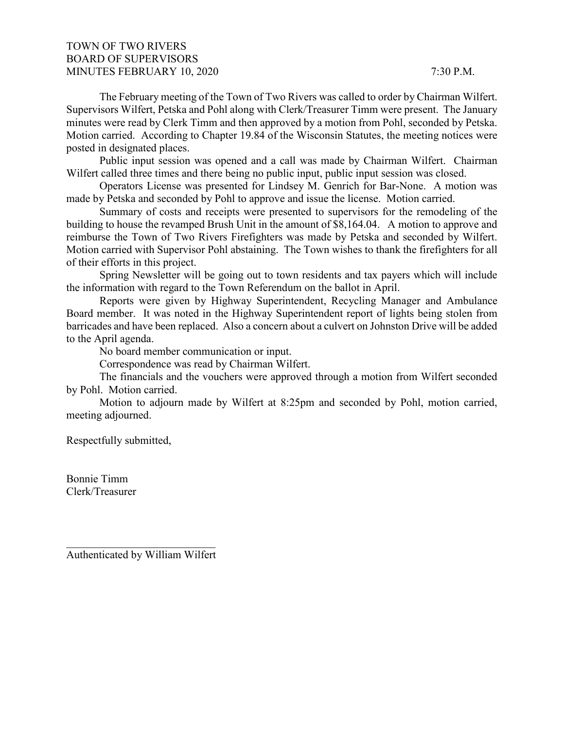# TOWN OF TWO RIVERS BOARD OF SUPERVISORS MINUTES FEBRUARY 10, 2020 7:30 P.M.

The February meeting of the Town of Two Rivers was called to order by Chairman Wilfert. Supervisors Wilfert, Petska and Pohl along with Clerk/Treasurer Timm were present. The January minutes were read by Clerk Timm and then approved by a motion from Pohl, seconded by Petska. Motion carried. According to Chapter 19.84 of the Wisconsin Statutes, the meeting notices were posted in designated places.

Public input session was opened and a call was made by Chairman Wilfert. Chairman Wilfert called three times and there being no public input, public input session was closed.

Operators License was presented for Lindsey M. Genrich for Bar-None. A motion was made by Petska and seconded by Pohl to approve and issue the license. Motion carried.

Summary of costs and receipts were presented to supervisors for the remodeling of the building to house the revamped Brush Unit in the amount of \$8,164.04. A motion to approve and reimburse the Town of Two Rivers Firefighters was made by Petska and seconded by Wilfert. Motion carried with Supervisor Pohl abstaining. The Town wishes to thank the firefighters for all of their efforts in this project.

Spring Newsletter will be going out to town residents and tax payers which will include the information with regard to the Town Referendum on the ballot in April.

Reports were given by Highway Superintendent, Recycling Manager and Ambulance Board member. It was noted in the Highway Superintendent report of lights being stolen from barricades and have been replaced. Also a concern about a culvert on Johnston Drive will be added to the April agenda.

No board member communication or input.

Correspondence was read by Chairman Wilfert.

The financials and the vouchers were approved through a motion from Wilfert seconded by Pohl. Motion carried.

Motion to adjourn made by Wilfert at 8:25pm and seconded by Pohl, motion carried, meeting adjourned.

Respectfully submitted,

Bonnie Timm Clerk/Treasurer

\_\_\_\_\_\_\_\_\_\_\_\_\_\_\_\_\_\_\_\_\_\_\_\_\_\_\_ Authenticated by William Wilfert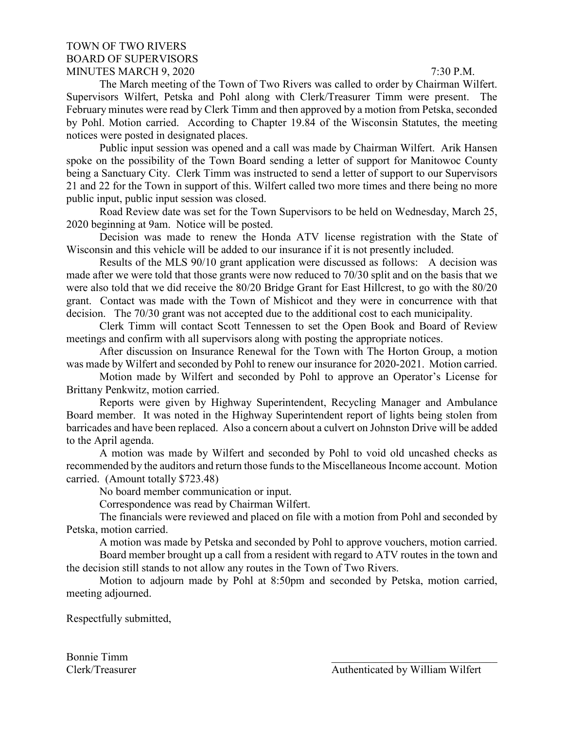## TOWN OF TWO RIVERS BOARD OF SUPERVISORS MINUTES MARCH 9, 2020 7:30 P.M.

The March meeting of the Town of Two Rivers was called to order by Chairman Wilfert. Supervisors Wilfert, Petska and Pohl along with Clerk/Treasurer Timm were present. The February minutes were read by Clerk Timm and then approved by a motion from Petska, seconded by Pohl. Motion carried. According to Chapter 19.84 of the Wisconsin Statutes, the meeting notices were posted in designated places.

Public input session was opened and a call was made by Chairman Wilfert. Arik Hansen spoke on the possibility of the Town Board sending a letter of support for Manitowoc County being a Sanctuary City. Clerk Timm was instructed to send a letter of support to our Supervisors 21 and 22 for the Town in support of this. Wilfert called two more times and there being no more public input, public input session was closed.

Road Review date was set for the Town Supervisors to be held on Wednesday, March 25, 2020 beginning at 9am. Notice will be posted.

Decision was made to renew the Honda ATV license registration with the State of Wisconsin and this vehicle will be added to our insurance if it is not presently included.

Results of the MLS 90/10 grant application were discussed as follows: A decision was made after we were told that those grants were now reduced to 70/30 split and on the basis that we were also told that we did receive the 80/20 Bridge Grant for East Hillcrest, to go with the 80/20 grant. Contact was made with the Town of Mishicot and they were in concurrence with that decision. The 70/30 grant was not accepted due to the additional cost to each municipality.

Clerk Timm will contact Scott Tennessen to set the Open Book and Board of Review meetings and confirm with all supervisors along with posting the appropriate notices.

After discussion on Insurance Renewal for the Town with The Horton Group, a motion was made by Wilfert and seconded by Pohl to renew our insurance for 2020-2021. Motion carried.

Motion made by Wilfert and seconded by Pohl to approve an Operator's License for Brittany Penkwitz, motion carried.

Reports were given by Highway Superintendent, Recycling Manager and Ambulance Board member. It was noted in the Highway Superintendent report of lights being stolen from barricades and have been replaced. Also a concern about a culvert on Johnston Drive will be added to the April agenda.

A motion was made by Wilfert and seconded by Pohl to void old uncashed checks as recommended by the auditors and return those funds to the Miscellaneous Income account. Motion carried. (Amount totally \$723.48)

No board member communication or input.

Correspondence was read by Chairman Wilfert.

The financials were reviewed and placed on file with a motion from Pohl and seconded by Petska, motion carried.

A motion was made by Petska and seconded by Pohl to approve vouchers, motion carried.

Board member brought up a call from a resident with regard to ATV routes in the town and the decision still stands to not allow any routes in the Town of Two Rivers.

Motion to adjourn made by Pohl at 8:50pm and seconded by Petska, motion carried, meeting adjourned.

Respectfully submitted,

Bonnie Timm \_\_\_\_\_\_\_\_\_\_\_\_\_\_\_\_\_\_\_\_\_\_\_\_\_\_\_\_\_\_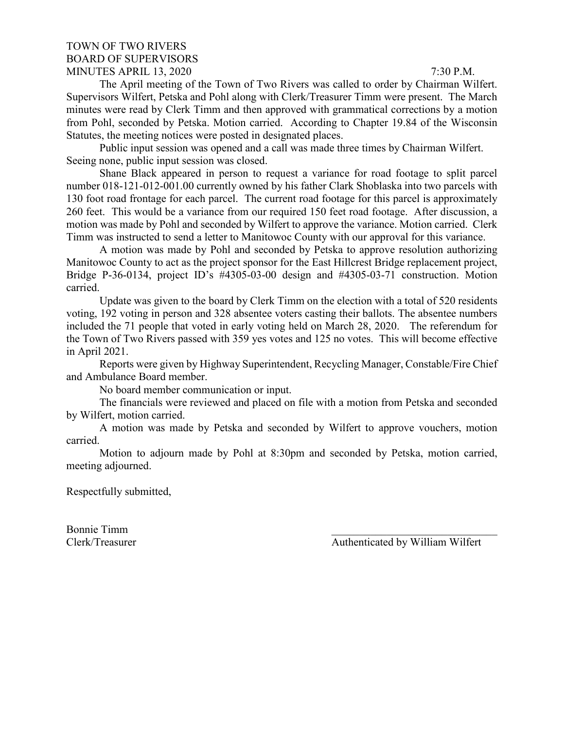## TOWN OF TWO RIVERS BOARD OF SUPERVISORS MINUTES APRIL 13, 2020 7:30 P.M.

The April meeting of the Town of Two Rivers was called to order by Chairman Wilfert. Supervisors Wilfert, Petska and Pohl along with Clerk/Treasurer Timm were present. The March minutes were read by Clerk Timm and then approved with grammatical corrections by a motion from Pohl, seconded by Petska. Motion carried. According to Chapter 19.84 of the Wisconsin Statutes, the meeting notices were posted in designated places.

Public input session was opened and a call was made three times by Chairman Wilfert. Seeing none, public input session was closed.

Shane Black appeared in person to request a variance for road footage to split parcel number 018-121-012-001.00 currently owned by his father Clark Shoblaska into two parcels with 130 foot road frontage for each parcel. The current road footage for this parcel is approximately 260 feet. This would be a variance from our required 150 feet road footage. After discussion, a motion was made by Pohl and seconded by Wilfert to approve the variance. Motion carried. Clerk Timm was instructed to send a letter to Manitowoc County with our approval for this variance.

A motion was made by Pohl and seconded by Petska to approve resolution authorizing Manitowoc County to act as the project sponsor for the East Hillcrest Bridge replacement project, Bridge P-36-0134, project ID's #4305-03-00 design and #4305-03-71 construction. Motion carried.

Update was given to the board by Clerk Timm on the election with a total of 520 residents voting, 192 voting in person and 328 absentee voters casting their ballots. The absentee numbers included the 71 people that voted in early voting held on March 28, 2020. The referendum for the Town of Two Rivers passed with 359 yes votes and 125 no votes. This will become effective in April 2021.

Reports were given by Highway Superintendent, Recycling Manager, Constable/Fire Chief and Ambulance Board member.

No board member communication or input.

The financials were reviewed and placed on file with a motion from Petska and seconded by Wilfert, motion carried.

A motion was made by Petska and seconded by Wilfert to approve vouchers, motion carried.

Motion to adjourn made by Pohl at 8:30pm and seconded by Petska, motion carried, meeting adjourned.

Respectfully submitted,

Bonnie Timm \_\_\_\_\_\_\_\_\_\_\_\_\_\_\_\_\_\_\_\_\_\_\_\_\_\_\_\_\_\_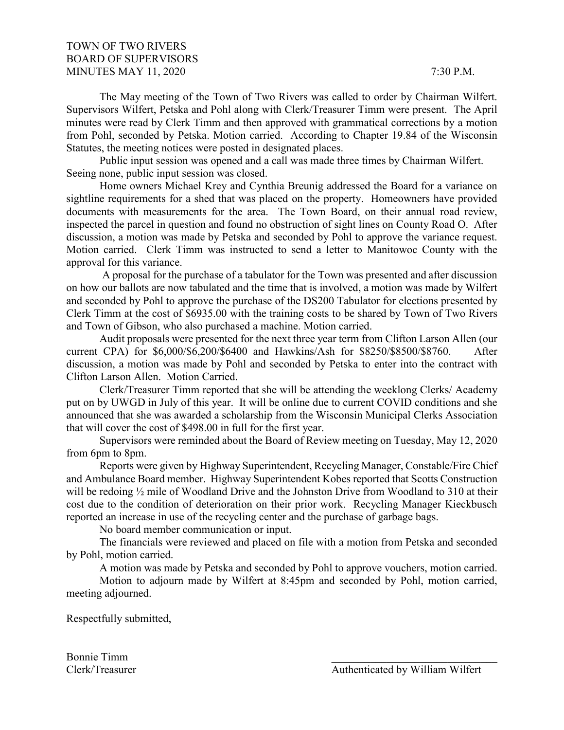# TOWN OF TWO RIVERS BOARD OF SUPERVISORS MINUTES MAY 11, 2020 7:30 P.M.

The May meeting of the Town of Two Rivers was called to order by Chairman Wilfert. Supervisors Wilfert, Petska and Pohl along with Clerk/Treasurer Timm were present. The April minutes were read by Clerk Timm and then approved with grammatical corrections by a motion from Pohl, seconded by Petska. Motion carried. According to Chapter 19.84 of the Wisconsin Statutes, the meeting notices were posted in designated places.

Public input session was opened and a call was made three times by Chairman Wilfert. Seeing none, public input session was closed.

Home owners Michael Krey and Cynthia Breunig addressed the Board for a variance on sightline requirements for a shed that was placed on the property. Homeowners have provided documents with measurements for the area. The Town Board, on their annual road review, inspected the parcel in question and found no obstruction of sight lines on County Road O. After discussion, a motion was made by Petska and seconded by Pohl to approve the variance request. Motion carried. Clerk Timm was instructed to send a letter to Manitowoc County with the approval for this variance.

A proposal for the purchase of a tabulator for the Town was presented and after discussion on how our ballots are now tabulated and the time that is involved, a motion was made by Wilfert and seconded by Pohl to approve the purchase of the DS200 Tabulator for elections presented by Clerk Timm at the cost of \$6935.00 with the training costs to be shared by Town of Two Rivers and Town of Gibson, who also purchased a machine. Motion carried.

Audit proposals were presented for the next three year term from Clifton Larson Allen (our current CPA) for \$6,000/\$6,200/\$6400 and Hawkins/Ash for \$8250/\$8500/\$8760. After discussion, a motion was made by Pohl and seconded by Petska to enter into the contract with Clifton Larson Allen. Motion Carried.

Clerk/Treasurer Timm reported that she will be attending the weeklong Clerks/ Academy put on by UWGD in July of this year. It will be online due to current COVID conditions and she announced that she was awarded a scholarship from the Wisconsin Municipal Clerks Association that will cover the cost of \$498.00 in full for the first year.

Supervisors were reminded about the Board of Review meeting on Tuesday, May 12, 2020 from 6pm to 8pm.

Reports were given by Highway Superintendent, Recycling Manager, Constable/Fire Chief and Ambulance Board member. Highway Superintendent Kobes reported that Scotts Construction will be redoing  $\frac{1}{2}$  mile of Woodland Drive and the Johnston Drive from Woodland to 310 at their cost due to the condition of deterioration on their prior work. Recycling Manager Kieckbusch reported an increase in use of the recycling center and the purchase of garbage bags.

No board member communication or input.

The financials were reviewed and placed on file with a motion from Petska and seconded by Pohl, motion carried.

A motion was made by Petska and seconded by Pohl to approve vouchers, motion carried.

Motion to adjourn made by Wilfert at 8:45pm and seconded by Pohl, motion carried, meeting adjourned.

Respectfully submitted,

Bonnie Timm \_\_\_\_\_\_\_\_\_\_\_\_\_\_\_\_\_\_\_\_\_\_\_\_\_\_\_\_\_\_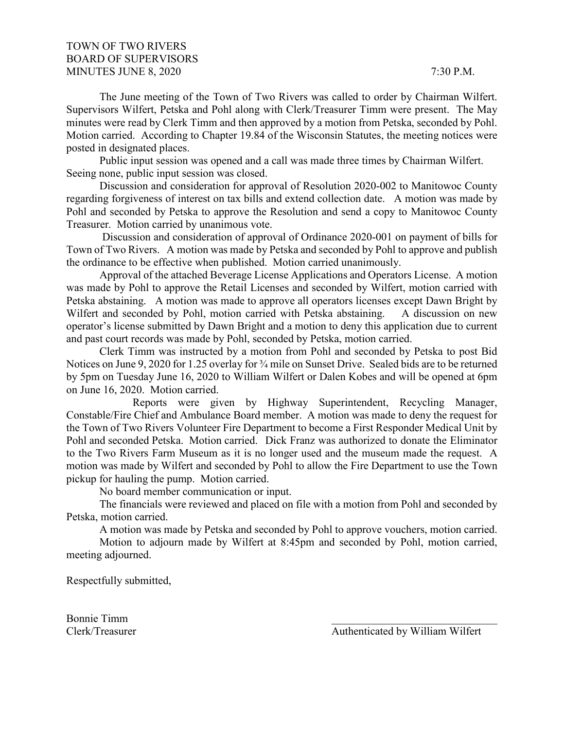# TOWN OF TWO RIVERS BOARD OF SUPERVISORS MINUTES JUNE 8, 2020 7:30 P.M.

The June meeting of the Town of Two Rivers was called to order by Chairman Wilfert. Supervisors Wilfert, Petska and Pohl along with Clerk/Treasurer Timm were present. The May minutes were read by Clerk Timm and then approved by a motion from Petska, seconded by Pohl. Motion carried. According to Chapter 19.84 of the Wisconsin Statutes, the meeting notices were posted in designated places.

Public input session was opened and a call was made three times by Chairman Wilfert. Seeing none, public input session was closed.

Discussion and consideration for approval of Resolution 2020-002 to Manitowoc County regarding forgiveness of interest on tax bills and extend collection date. A motion was made by Pohl and seconded by Petska to approve the Resolution and send a copy to Manitowoc County Treasurer. Motion carried by unanimous vote.

Discussion and consideration of approval of Ordinance 2020-001 on payment of bills for Town of Two Rivers. A motion was made by Petska and seconded by Pohl to approve and publish the ordinance to be effective when published. Motion carried unanimously.

Approval of the attached Beverage License Applications and Operators License. A motion was made by Pohl to approve the Retail Licenses and seconded by Wilfert, motion carried with Petska abstaining. A motion was made to approve all operators licenses except Dawn Bright by Wilfert and seconded by Pohl, motion carried with Petska abstaining. A discussion on new operator's license submitted by Dawn Bright and a motion to deny this application due to current and past court records was made by Pohl, seconded by Petska, motion carried.

Clerk Timm was instructed by a motion from Pohl and seconded by Petska to post Bid Notices on June 9, 2020 for 1.25 overlay for ¾ mile on Sunset Drive. Sealed bids are to be returned by 5pm on Tuesday June 16, 2020 to William Wilfert or Dalen Kobes and will be opened at 6pm on June 16, 2020. Motion carried.

Reports were given by Highway Superintendent, Recycling Manager, Constable/Fire Chief and Ambulance Board member. A motion was made to deny the request for the Town of Two Rivers Volunteer Fire Department to become a First Responder Medical Unit by Pohl and seconded Petska. Motion carried. Dick Franz was authorized to donate the Eliminator to the Two Rivers Farm Museum as it is no longer used and the museum made the request. A motion was made by Wilfert and seconded by Pohl to allow the Fire Department to use the Town pickup for hauling the pump. Motion carried.

No board member communication or input.

The financials were reviewed and placed on file with a motion from Pohl and seconded by Petska, motion carried.

A motion was made by Petska and seconded by Pohl to approve vouchers, motion carried.

Motion to adjourn made by Wilfert at 8:45pm and seconded by Pohl, motion carried, meeting adjourned.

Respectfully submitted,

Bonnie Timm \_\_\_\_\_\_\_\_\_\_\_\_\_\_\_\_\_\_\_\_\_\_\_\_\_\_\_\_\_\_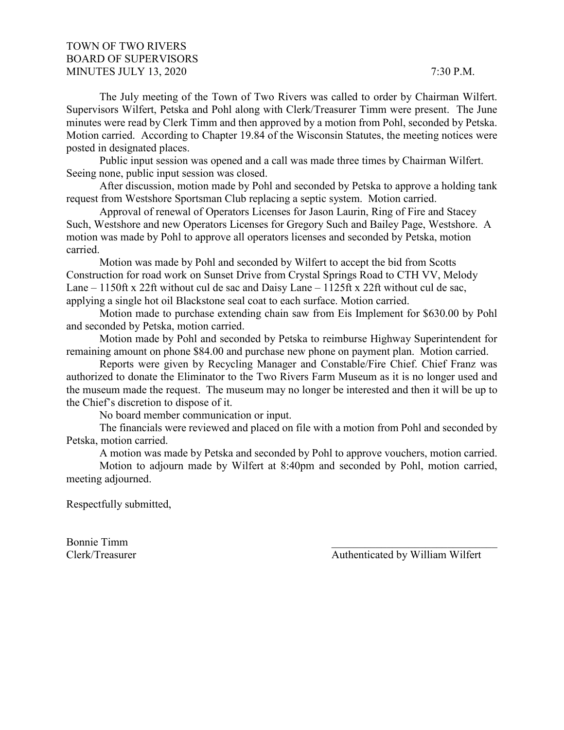# TOWN OF TWO RIVERS BOARD OF SUPERVISORS MINUTES JULY 13, 2020 7:30 P.M.

The July meeting of the Town of Two Rivers was called to order by Chairman Wilfert. Supervisors Wilfert, Petska and Pohl along with Clerk/Treasurer Timm were present. The June minutes were read by Clerk Timm and then approved by a motion from Pohl, seconded by Petska. Motion carried. According to Chapter 19.84 of the Wisconsin Statutes, the meeting notices were posted in designated places.

Public input session was opened and a call was made three times by Chairman Wilfert. Seeing none, public input session was closed.

After discussion, motion made by Pohl and seconded by Petska to approve a holding tank request from Westshore Sportsman Club replacing a septic system. Motion carried.

Approval of renewal of Operators Licenses for Jason Laurin, Ring of Fire and Stacey Such, Westshore and new Operators Licenses for Gregory Such and Bailey Page, Westshore. A motion was made by Pohl to approve all operators licenses and seconded by Petska, motion carried.

Motion was made by Pohl and seconded by Wilfert to accept the bid from Scotts Construction for road work on Sunset Drive from Crystal Springs Road to CTH VV, Melody Lane – 1150ft x 22ft without cul de sac and Daisy Lane – 1125ft x 22ft without cul de sac, applying a single hot oil Blackstone seal coat to each surface. Motion carried.

Motion made to purchase extending chain saw from Eis Implement for \$630.00 by Pohl and seconded by Petska, motion carried.

Motion made by Pohl and seconded by Petska to reimburse Highway Superintendent for remaining amount on phone \$84.00 and purchase new phone on payment plan. Motion carried.

Reports were given by Recycling Manager and Constable/Fire Chief. Chief Franz was authorized to donate the Eliminator to the Two Rivers Farm Museum as it is no longer used and the museum made the request. The museum may no longer be interested and then it will be up to the Chief's discretion to dispose of it.

No board member communication or input.

The financials were reviewed and placed on file with a motion from Pohl and seconded by Petska, motion carried.

A motion was made by Petska and seconded by Pohl to approve vouchers, motion carried.

Motion to adjourn made by Wilfert at 8:40pm and seconded by Pohl, motion carried, meeting adjourned.

Respectfully submitted,

Bonnie Timm \_\_\_\_\_\_\_\_\_\_\_\_\_\_\_\_\_\_\_\_\_\_\_\_\_\_\_\_\_\_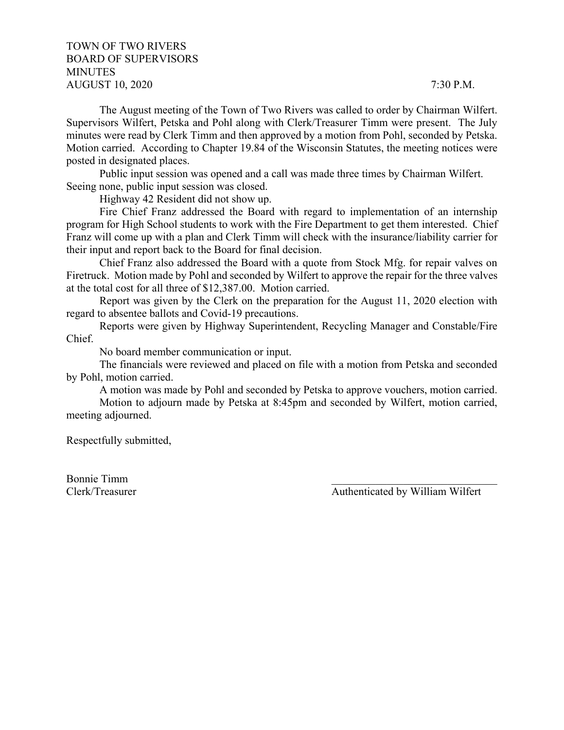# TOWN OF TWO RIVERS BOARD OF SUPERVISORS MINUTES AUGUST 10, 2020 7:30 P.M.

The August meeting of the Town of Two Rivers was called to order by Chairman Wilfert. Supervisors Wilfert, Petska and Pohl along with Clerk/Treasurer Timm were present. The July minutes were read by Clerk Timm and then approved by a motion from Pohl, seconded by Petska. Motion carried. According to Chapter 19.84 of the Wisconsin Statutes, the meeting notices were posted in designated places.

Public input session was opened and a call was made three times by Chairman Wilfert. Seeing none, public input session was closed.

Highway 42 Resident did not show up.

Fire Chief Franz addressed the Board with regard to implementation of an internship program for High School students to work with the Fire Department to get them interested. Chief Franz will come up with a plan and Clerk Timm will check with the insurance/liability carrier for their input and report back to the Board for final decision.

Chief Franz also addressed the Board with a quote from Stock Mfg. for repair valves on Firetruck. Motion made by Pohl and seconded by Wilfert to approve the repair for the three valves at the total cost for all three of \$12,387.00. Motion carried.

Report was given by the Clerk on the preparation for the August 11, 2020 election with regard to absentee ballots and Covid-19 precautions.

Reports were given by Highway Superintendent, Recycling Manager and Constable/Fire Chief.

No board member communication or input.

The financials were reviewed and placed on file with a motion from Petska and seconded by Pohl, motion carried.

A motion was made by Pohl and seconded by Petska to approve vouchers, motion carried. Motion to adjourn made by Petska at 8:45pm and seconded by Wilfert, motion carried, meeting adjourned.

Respectfully submitted,

Bonnie Timm \_\_\_\_\_\_\_\_\_\_\_\_\_\_\_\_\_\_\_\_\_\_\_\_\_\_\_\_\_\_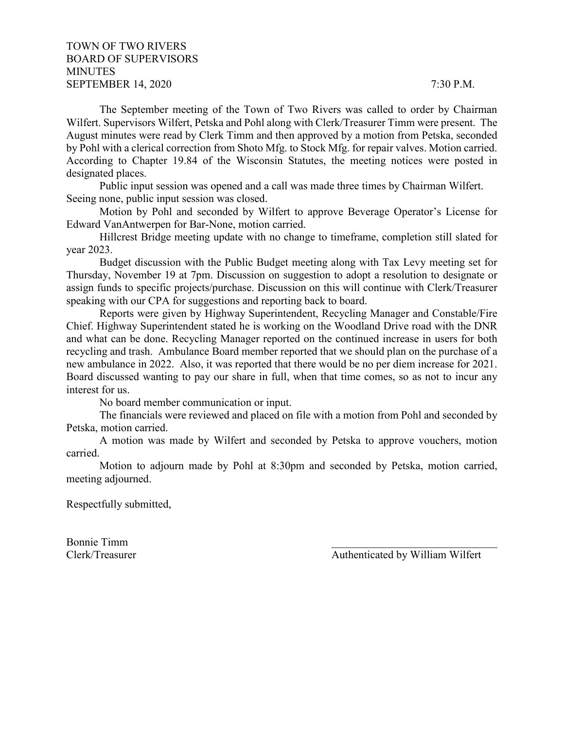## TOWN OF TWO RIVERS BOARD OF SUPERVISORS **MINUTES** SEPTEMBER 14, 2020 7:30 P.M.

The September meeting of the Town of Two Rivers was called to order by Chairman Wilfert. Supervisors Wilfert, Petska and Pohl along with Clerk/Treasurer Timm were present. The August minutes were read by Clerk Timm and then approved by a motion from Petska, seconded by Pohl with a clerical correction from Shoto Mfg. to Stock Mfg. for repair valves. Motion carried. According to Chapter 19.84 of the Wisconsin Statutes, the meeting notices were posted in designated places.

Public input session was opened and a call was made three times by Chairman Wilfert. Seeing none, public input session was closed.

Motion by Pohl and seconded by Wilfert to approve Beverage Operator's License for Edward VanAntwerpen for Bar-None, motion carried.

Hillcrest Bridge meeting update with no change to timeframe, completion still slated for year 2023.

Budget discussion with the Public Budget meeting along with Tax Levy meeting set for Thursday, November 19 at 7pm. Discussion on suggestion to adopt a resolution to designate or assign funds to specific projects/purchase. Discussion on this will continue with Clerk/Treasurer speaking with our CPA for suggestions and reporting back to board.

Reports were given by Highway Superintendent, Recycling Manager and Constable/Fire Chief. Highway Superintendent stated he is working on the Woodland Drive road with the DNR and what can be done. Recycling Manager reported on the continued increase in users for both recycling and trash. Ambulance Board member reported that we should plan on the purchase of a new ambulance in 2022. Also, it was reported that there would be no per diem increase for 2021. Board discussed wanting to pay our share in full, when that time comes, so as not to incur any interest for us.

No board member communication or input.

The financials were reviewed and placed on file with a motion from Pohl and seconded by Petska, motion carried.

A motion was made by Wilfert and seconded by Petska to approve vouchers, motion carried.

Motion to adjourn made by Pohl at 8:30pm and seconded by Petska, motion carried, meeting adjourned.

Respectfully submitted,

Bonnie Timm \_\_\_\_\_\_\_\_\_\_\_\_\_\_\_\_\_\_\_\_\_\_\_\_\_\_\_\_\_\_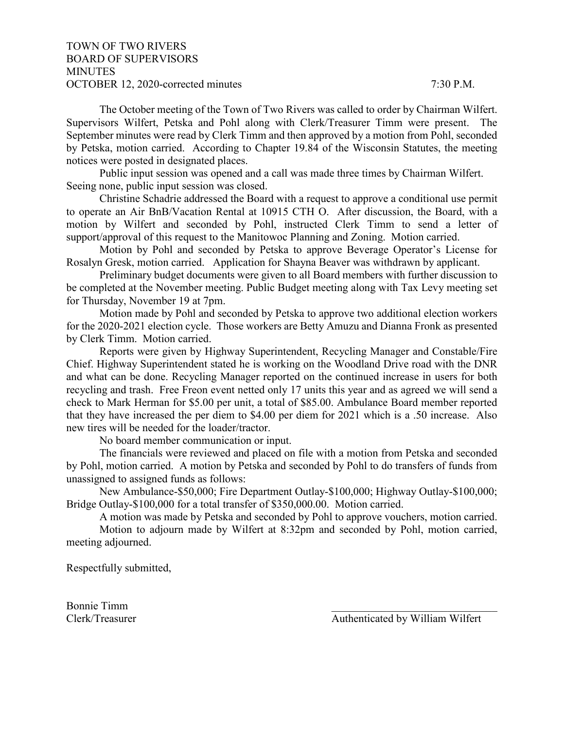## TOWN OF TWO RIVERS BOARD OF SUPERVISORS **MINUTES** OCTOBER 12, 2020-corrected minutes 7:30 P.M.

The October meeting of the Town of Two Rivers was called to order by Chairman Wilfert. Supervisors Wilfert, Petska and Pohl along with Clerk/Treasurer Timm were present. The September minutes were read by Clerk Timm and then approved by a motion from Pohl, seconded by Petska, motion carried. According to Chapter 19.84 of the Wisconsin Statutes, the meeting notices were posted in designated places.

Public input session was opened and a call was made three times by Chairman Wilfert. Seeing none, public input session was closed.

Christine Schadrie addressed the Board with a request to approve a conditional use permit to operate an Air BnB/Vacation Rental at 10915 CTH O. After discussion, the Board, with a motion by Wilfert and seconded by Pohl, instructed Clerk Timm to send a letter of support/approval of this request to the Manitowoc Planning and Zoning. Motion carried.

Motion by Pohl and seconded by Petska to approve Beverage Operator's License for Rosalyn Gresk, motion carried. Application for Shayna Beaver was withdrawn by applicant.

Preliminary budget documents were given to all Board members with further discussion to be completed at the November meeting. Public Budget meeting along with Tax Levy meeting set for Thursday, November 19 at 7pm.

Motion made by Pohl and seconded by Petska to approve two additional election workers for the 2020-2021 election cycle. Those workers are Betty Amuzu and Dianna Fronk as presented by Clerk Timm. Motion carried.

Reports were given by Highway Superintendent, Recycling Manager and Constable/Fire Chief. Highway Superintendent stated he is working on the Woodland Drive road with the DNR and what can be done. Recycling Manager reported on the continued increase in users for both recycling and trash. Free Freon event netted only 17 units this year and as agreed we will send a check to Mark Herman for \$5.00 per unit, a total of \$85.00. Ambulance Board member reported that they have increased the per diem to \$4.00 per diem for 2021 which is a .50 increase. Also new tires will be needed for the loader/tractor.

No board member communication or input.

The financials were reviewed and placed on file with a motion from Petska and seconded by Pohl, motion carried. A motion by Petska and seconded by Pohl to do transfers of funds from unassigned to assigned funds as follows:

New Ambulance-\$50,000; Fire Department Outlay-\$100,000; Highway Outlay-\$100,000; Bridge Outlay-\$100,000 for a total transfer of \$350,000.00. Motion carried.

A motion was made by Petska and seconded by Pohl to approve vouchers, motion carried.

Motion to adjourn made by Wilfert at 8:32pm and seconded by Pohl, motion carried, meeting adjourned.

Respectfully submitted,

Bonnie Timm \_\_\_\_\_\_\_\_\_\_\_\_\_\_\_\_\_\_\_\_\_\_\_\_\_\_\_\_\_\_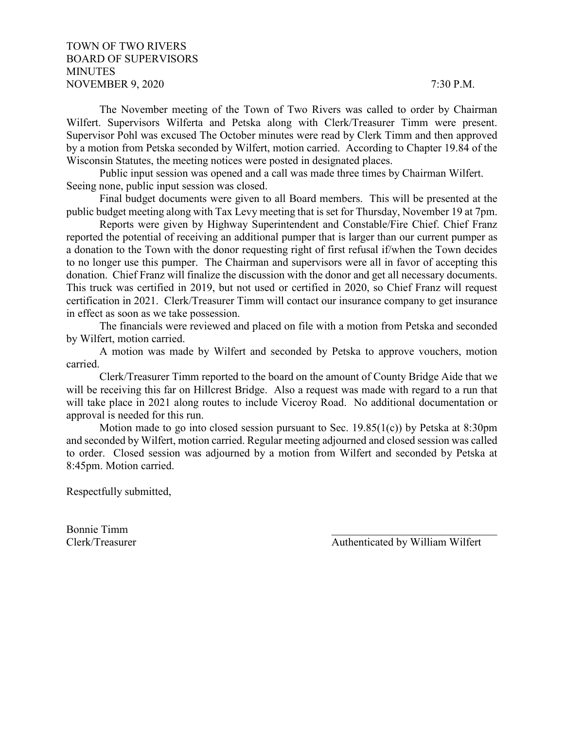### TOWN OF TWO RIVERS BOARD OF SUPERVISORS **MINUTES** NOVEMBER 9, 2020 7:30 P.M.

The November meeting of the Town of Two Rivers was called to order by Chairman Wilfert. Supervisors Wilferta and Petska along with Clerk/Treasurer Timm were present. Supervisor Pohl was excused The October minutes were read by Clerk Timm and then approved by a motion from Petska seconded by Wilfert, motion carried. According to Chapter 19.84 of the Wisconsin Statutes, the meeting notices were posted in designated places.

Public input session was opened and a call was made three times by Chairman Wilfert. Seeing none, public input session was closed.

Final budget documents were given to all Board members. This will be presented at the public budget meeting along with Tax Levy meeting that is set for Thursday, November 19 at 7pm.

Reports were given by Highway Superintendent and Constable/Fire Chief. Chief Franz reported the potential of receiving an additional pumper that is larger than our current pumper as a donation to the Town with the donor requesting right of first refusal if/when the Town decides to no longer use this pumper. The Chairman and supervisors were all in favor of accepting this donation. Chief Franz will finalize the discussion with the donor and get all necessary documents. This truck was certified in 2019, but not used or certified in 2020, so Chief Franz will request certification in 2021. Clerk/Treasurer Timm will contact our insurance company to get insurance in effect as soon as we take possession.

The financials were reviewed and placed on file with a motion from Petska and seconded by Wilfert, motion carried.

A motion was made by Wilfert and seconded by Petska to approve vouchers, motion carried.

Clerk/Treasurer Timm reported to the board on the amount of County Bridge Aide that we will be receiving this far on Hillcrest Bridge. Also a request was made with regard to a run that will take place in 2021 along routes to include Viceroy Road. No additional documentation or approval is needed for this run.

Motion made to go into closed session pursuant to Sec. 19.85(1(c)) by Petska at 8:30pm and seconded by Wilfert, motion carried. Regular meeting adjourned and closed session was called to order. Closed session was adjourned by a motion from Wilfert and seconded by Petska at 8:45pm. Motion carried.

Respectfully submitted,

Bonnie Timm \_\_\_\_\_\_\_\_\_\_\_\_\_\_\_\_\_\_\_\_\_\_\_\_\_\_\_\_\_\_